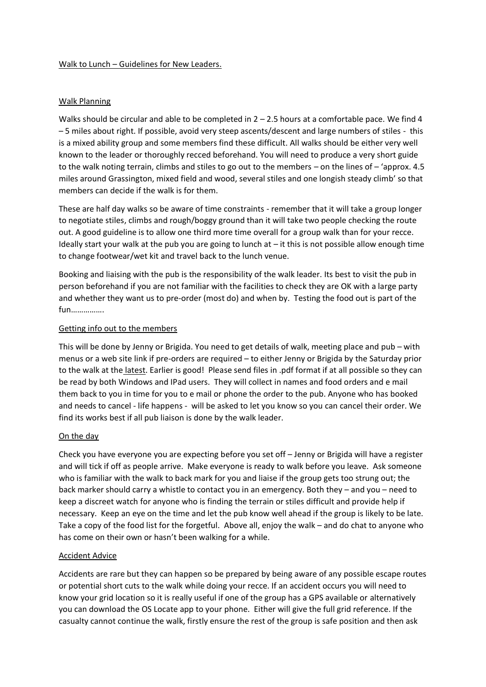### Walk to Lunch – Guidelines for New Leaders.

## Walk Planning

Walks should be circular and able to be completed in  $2 - 2.5$  hours at a comfortable pace. We find 4 – 5 miles about right. If possible, avoid very steep ascents/descent and large numbers of stiles - this is a mixed ability group and some members find these difficult. All walks should be either very well known to the leader or thoroughly recced beforehand. You will need to produce a very short guide to the walk noting terrain, climbs and stiles to go out to the members – on the lines of – 'approx. 4.5 miles around Grassington, mixed field and wood, several stiles and one longish steady climb' so that members can decide if the walk is for them.

These are half day walks so be aware of time constraints - remember that it will take a group longer to negotiate stiles, climbs and rough/boggy ground than it will take two people checking the route out. A good guideline is to allow one third more time overall for a group walk than for your recce. Ideally start your walk at the pub you are going to lunch at  $-$  it this is not possible allow enough time to change footwear/wet kit and travel back to the lunch venue.

Booking and liaising with the pub is the responsibility of the walk leader. Its best to visit the pub in person beforehand if you are not familiar with the facilities to check they are OK with a large party and whether they want us to pre-order (most do) and when by. Testing the food out is part of the fun…………….

# Getting info out to the members

This will be done by Jenny or Brigida. You need to get details of walk, meeting place and pub – with menus or a web site link if pre-orders are required – to either Jenny or Brigida by the Saturday prior to the walk at the latest. Earlier is good! Please send files in .pdf format if at all possible so they can be read by both Windows and IPad users. They will collect in names and food orders and e mail them back to you in time for you to e mail or phone the order to the pub. Anyone who has booked and needs to cancel - life happens - will be asked to let you know so you can cancel their order. We find its works best if all pub liaison is done by the walk leader.

## On the day

Check you have everyone you are expecting before you set off – Jenny or Brigida will have a register and will tick if off as people arrive. Make everyone is ready to walk before you leave. Ask someone who is familiar with the walk to back mark for you and liaise if the group gets too strung out; the back marker should carry a whistle to contact you in an emergency. Both they – and you – need to keep a discreet watch for anyone who is finding the terrain or stiles difficult and provide help if necessary. Keep an eye on the time and let the pub know well ahead if the group is likely to be late. Take a copy of the food list for the forgetful. Above all, enjoy the walk – and do chat to anyone who has come on their own or hasn't been walking for a while.

## Accident Advice

Accidents are rare but they can happen so be prepared by being aware of any possible escape routes or potential short cuts to the walk while doing your recce. If an accident occurs you will need to know your grid location so it is really useful if one of the group has a GPS available or alternatively you can download the OS Locate app to your phone. Either will give the full grid reference. If the casualty cannot continue the walk, firstly ensure the rest of the group is safe position and then ask